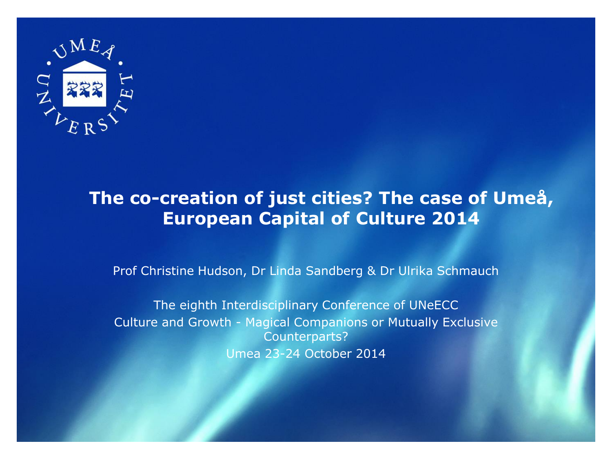

#### **The co-creation of just cities? The case of Umeå, European Capital of Culture 2014**

Prof Christine Hudson, Dr Linda Sandberg & Dr Ulrika Schmauch

The eighth Interdisciplinary Conference of UNeECC Culture and Growth - Magical Companions or Mutually Exclusive Counterparts? Umea 23-24 October 2014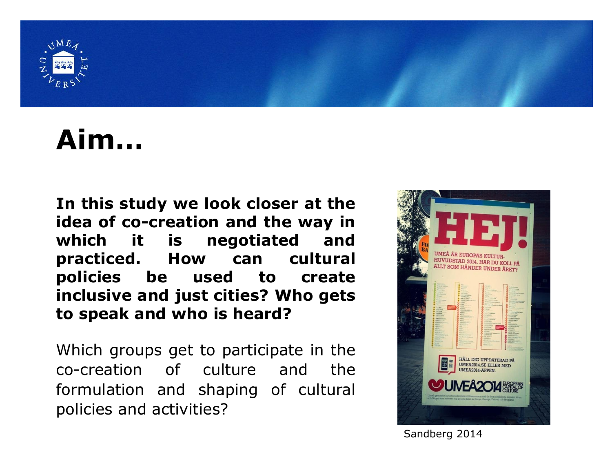

#### **Aim…**

**In this study we look closer at the idea of co-creation and the way in which it is negotiated and practiced. How can cultural policies be used to create inclusive and just cities? Who gets to speak and who is heard?**

Which groups get to participate in the co-creation of culture and the formulation and shaping of cultural policies and activities?



Sandberg 2014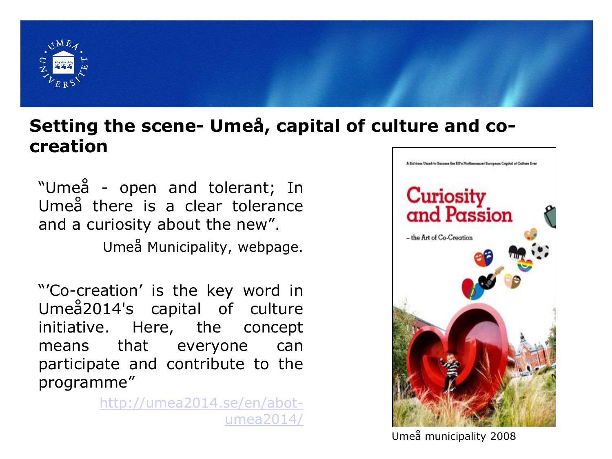

#### **Setting the scene- Umeå, capital of culture and cocreation**

"Umeå - open and tolerant; In Umeå there is a clear tolerance and a curiosity about the new".

Umeå Municipality, webpage.

"'Co-creation' is the key word in Umeå2014's capital of culture initiative. Here, the concept means that everyone can participate and contribute to the programme"

> [http://umea2014.se/en/abot](http://umea2014.se/en/abot-umea2014/)umea2014/



Umeå municipality 2008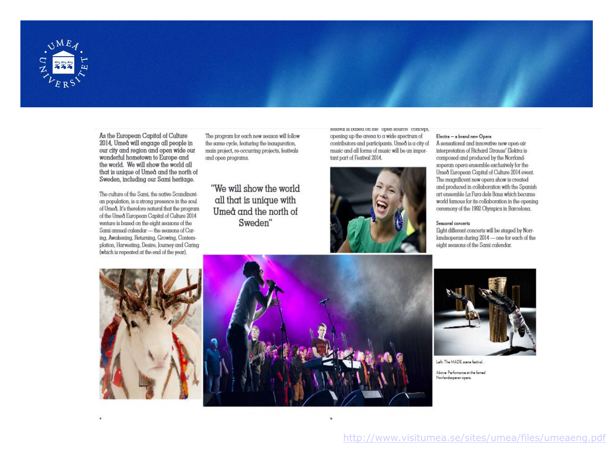

As the European Capital of Culture 2014, Umeå will engage all people in our city and region and open wide our wonderful hometown to Europe and the world. We will show the world all that is unique of Umeå and the north of Sweden, including our Sami heritage.

The culture of the Sami, the native Scandinavian population, is a strong presence in the soul of Umeå. It's therefore natural that the program of the Umed European Capital of Culture 2014 venture is based on the eight seasons of the Sami annual calendar - the seasons of Caring, Awakening, Returning, Growing, Contemplation, Harvesting, Desire, Journey and Caring (which is repeated at the end of the year).

The program for each new season will follow the same cycle, featuring the inauguration, main project, re-occurring projects, festivals and open programs.

"We will show the world all that is unique with Umeå and the north of Sweden"

resuvar is pasea on the open source concept, opening up the arena to a wide spectrum of contributors and participants. Umeå is a city of music and all forms of music will be an important part of Festival 2014.



#### Electra - a brand new Opera

A sensational and innovative new open-air interpretation of Richard Strauss' Elektra is composed and produced by the Norrlandsoperan opera ensemble exclusively for the Umeå European Capital of Culture 2014 event. The magnificent new opera show is created and produced in collaboration with the Spanish art ensemble La Fura dels Baus which became world famous for its collaboration in the opening ceremony of the 1992 Olympics in Barcelona.

#### Seasonal concerts

Eight different concerts will be staged by Norrlandsoperan during 2014 - one for each of the eight seasons of the Sami calendar.





Left: The MADE scene featival.

Above: Performance at the famed Norrlandsoperan opera.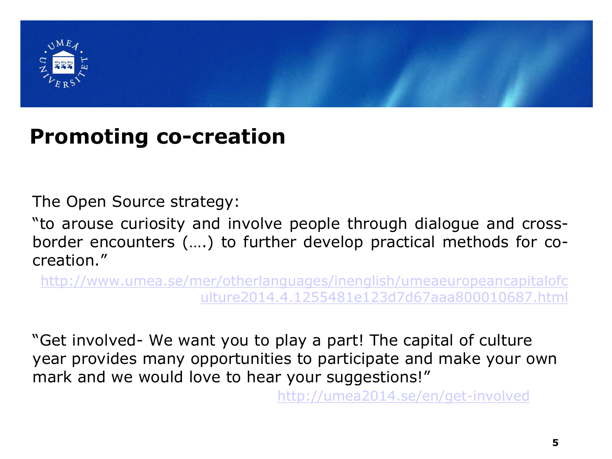

#### **Promoting co-creation**

The Open Source strategy:

"to arouse curiosity and involve people through dialogue and crossborder encounters (….) to further develop practical methods for cocreation."

[http://www.umea.se/mer/otherlanguages/inenglish/umeaeuropeancapitalofc](http://www.umea.se/mer/otherlanguages/inenglish/umeaeuropeancapitalofculture2014.4.1255481e123d7d67aaa800010687.html) ulture2014.4.1255481e123d7d67aaa800010687.html

"Get involved- We want you to play a part! The capital of culture year provides many opportunities to participate and make your own mark and we would love to hear your suggestions!"

<http://umea2014.se/en/get-involved>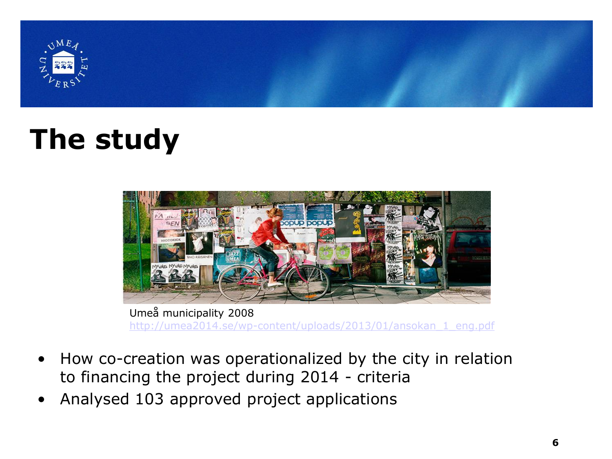

## **The study**



Umeå municipality 2008 [http://umea2014.se/wp-content/uploads/2013/01/ansokan\\_1\\_eng.pdf](http://umea2014.se/wp-content/uploads/2013/01/ansokan_1_eng.pdf)

- How co-creation was operationalized by the city in relation to financing the project during 2014 - criteria
- Analysed 103 approved project applications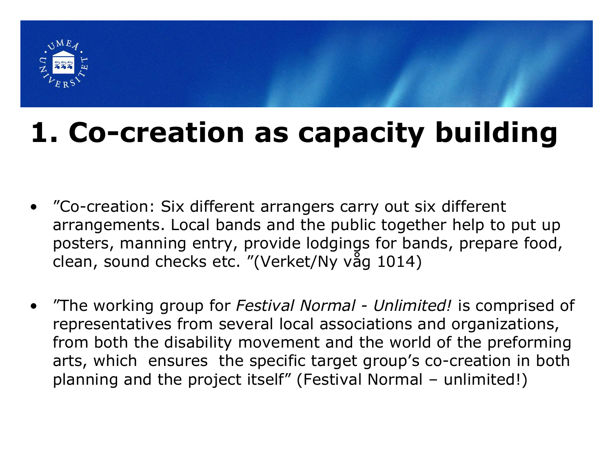

## **1. Co-creation as capacity building**

- "Co-creation: Six different arrangers carry out six different arrangements. Local bands and the public together help to put up posters, manning entry, provide lodgings for bands, prepare food, clean, sound checks etc. "(Verket/Ny våg 1014)
- "The working group for *Festival Normal - Unlimited!* is comprised of representatives from several local associations and organizations, from both the disability movement and the world of the preforming arts, which ensures the specific target group's co-creation in both planning and the project itself" (Festival Normal – unlimited!)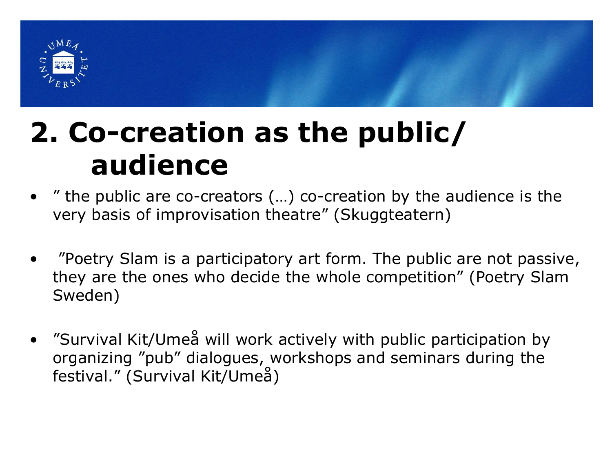

### **2. Co-creation as the public/ audience**

- " the public are co-creators  $(...)$  co-creation by the audience is the very basis of improvisation theatre" (Skuggteatern)
- "Poetry Slam is a participatory art form. The public are not passive, they are the ones who decide the whole competition" (Poetry Slam Sweden)
- "Survival Kit/Umeå will work actively with public participation by organizing "pub" dialogues, workshops and seminars during the festival." (Survival Kit/Umeå)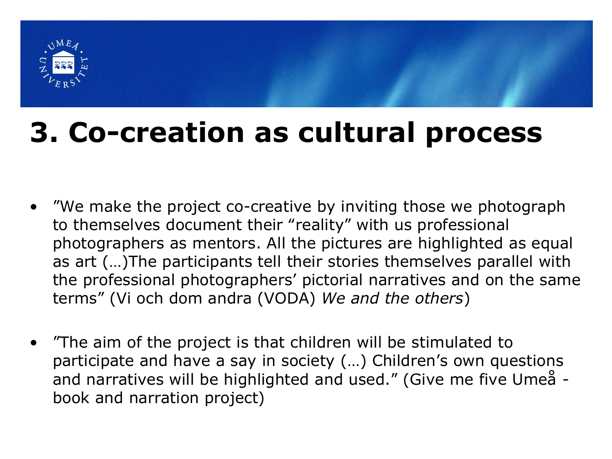

## **3. Co-creation as cultural process**

- "We make the project co-creative by inviting those we photograph to themselves document their "reality" with us professional photographers as mentors. All the pictures are highlighted as equal as art (…)The participants tell their stories themselves parallel with the professional photographers' pictorial narratives and on the same terms" (Vi och dom andra (VODA) *We and the others*)
- "The aim of the project is that children will be stimulated to participate and have a say in society (…) Children's own questions and narratives will be highlighted and used." (Give me five Umeå book and narration project)